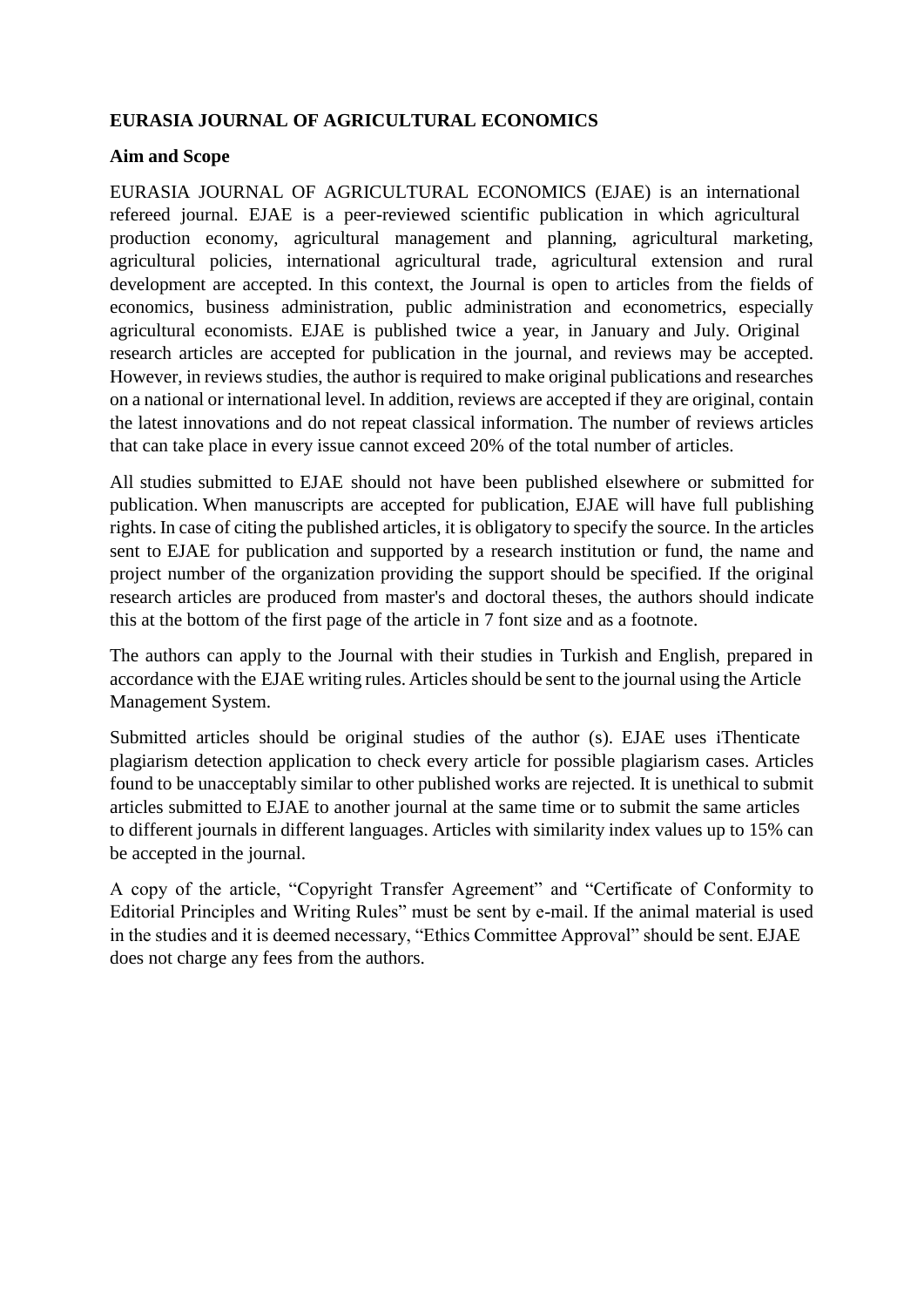## **EURASIA JOURNAL OF AGRICULTURAL ECONOMICS**

### **Aim and Scope**

EURASIA JOURNAL OF AGRICULTURAL ECONOMICS (EJAE) is an international refereed journal. EJAE is a peer-reviewed scientific publication in which agricultural production economy, agricultural management and planning, agricultural marketing, agricultural policies, international agricultural trade, agricultural extension and rural development are accepted. In this context, the Journal is open to articles from the fields of economics, business administration, public administration and econometrics, especially agricultural economists. EJAE is published twice a year, in January and July. Original research articles are accepted for publication in the journal, and reviews may be accepted. However, in reviews studies, the author is required to make original publications and researches on a national or international level. In addition, reviews are accepted if they are original, contain the latest innovations and do not repeat classical information. The number of reviews articles that can take place in every issue cannot exceed 20% of the total number of articles.

All studies submitted to EJAE should not have been published elsewhere or submitted for publication. When manuscripts are accepted for publication, EJAE will have full publishing rights. In case of citing the published articles, it is obligatory to specify the source. In the articles sent to EJAE for publication and supported by a research institution or fund, the name and project number of the organization providing the support should be specified. If the original research articles are produced from master's and doctoral theses, the authors should indicate this at the bottom of the first page of the article in 7 font size and as a footnote.

The authors can apply to the Journal with their studies in Turkish and English, prepared in accordance with the EJAE writing rules. Articles should be sent to the journal using the Article Management System.

Submitted articles should be original studies of the author (s). EJAE uses iThenticate plagiarism detection application to check every article for possible plagiarism cases. Articles found to be unacceptably similar to other published works are rejected. It is unethical to submit articles submitted to EJAE to another journal at the same time or to submit the same articles to different journals in different languages. Articles with similarity index values up to 15% can be accepted in the journal.

A copy of the article, "Copyright Transfer Agreement" and "Certificate of Conformity to Editorial Principles and Writing Rules" must be sent by e-mail. If the animal material is used in the studies and it is deemed necessary, "Ethics Committee Approval" should be sent. EJAE does not charge any fees from the authors.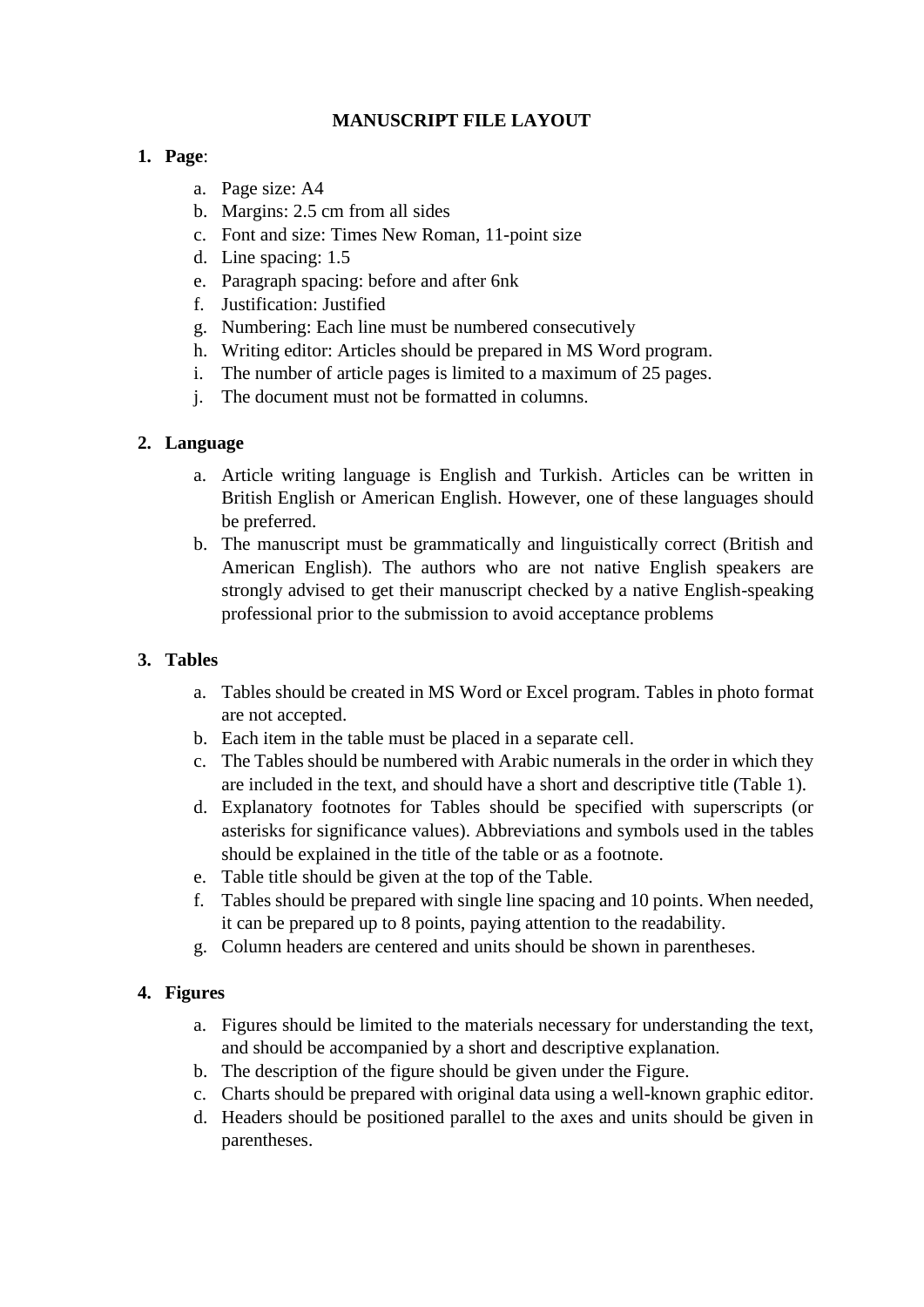## **MANUSCRIPT FILE LAYOUT**

## **1. Page**:

- a. Page size: A4
- b. Margins: 2.5 cm from all sides
- c. Font and size: Times New Roman, 11-point size
- d. Line spacing: 1.5
- e. Paragraph spacing: before and after 6nk
- f. Justification: Justified
- g. Numbering: Each line must be numbered consecutively
- h. Writing editor: Articles should be prepared in MS Word program.
- i. The number of article pages is limited to a maximum of 25 pages.
- j. The document must not be formatted in columns.

# **2. Language**

- a. Article writing language is English and Turkish. Articles can be written in British English or American English. However, one of these languages should be preferred.
- b. The manuscript must be grammatically and linguistically correct (British and American English). The authors who are not native English speakers are strongly advised to get their manuscript checked by a native English-speaking professional prior to the submission to avoid acceptance problems

# **3. Tables**

- a. Tables should be created in MS Word or Excel program. Tables in photo format are not accepted.
- b. Each item in the table must be placed in a separate cell.
- c. The Tables should be numbered with Arabic numerals in the order in which they are included in the text, and should have a short and descriptive title (Table 1).
- d. Explanatory footnotes for Tables should be specified with superscripts (or asterisks for significance values). Abbreviations and symbols used in the tables should be explained in the title of the table or as a footnote.
- e. Table title should be given at the top of the Table.
- f. Tables should be prepared with single line spacing and 10 points. When needed, it can be prepared up to 8 points, paying attention to the readability.
- g. Column headers are centered and units should be shown in parentheses.

# **4. Figures**

- a. Figures should be limited to the materials necessary for understanding the text, and should be accompanied by a short and descriptive explanation.
- b. The description of the figure should be given under the Figure.
- c. Charts should be prepared with original data using a well-known graphic editor.
- d. Headers should be positioned parallel to the axes and units should be given in parentheses.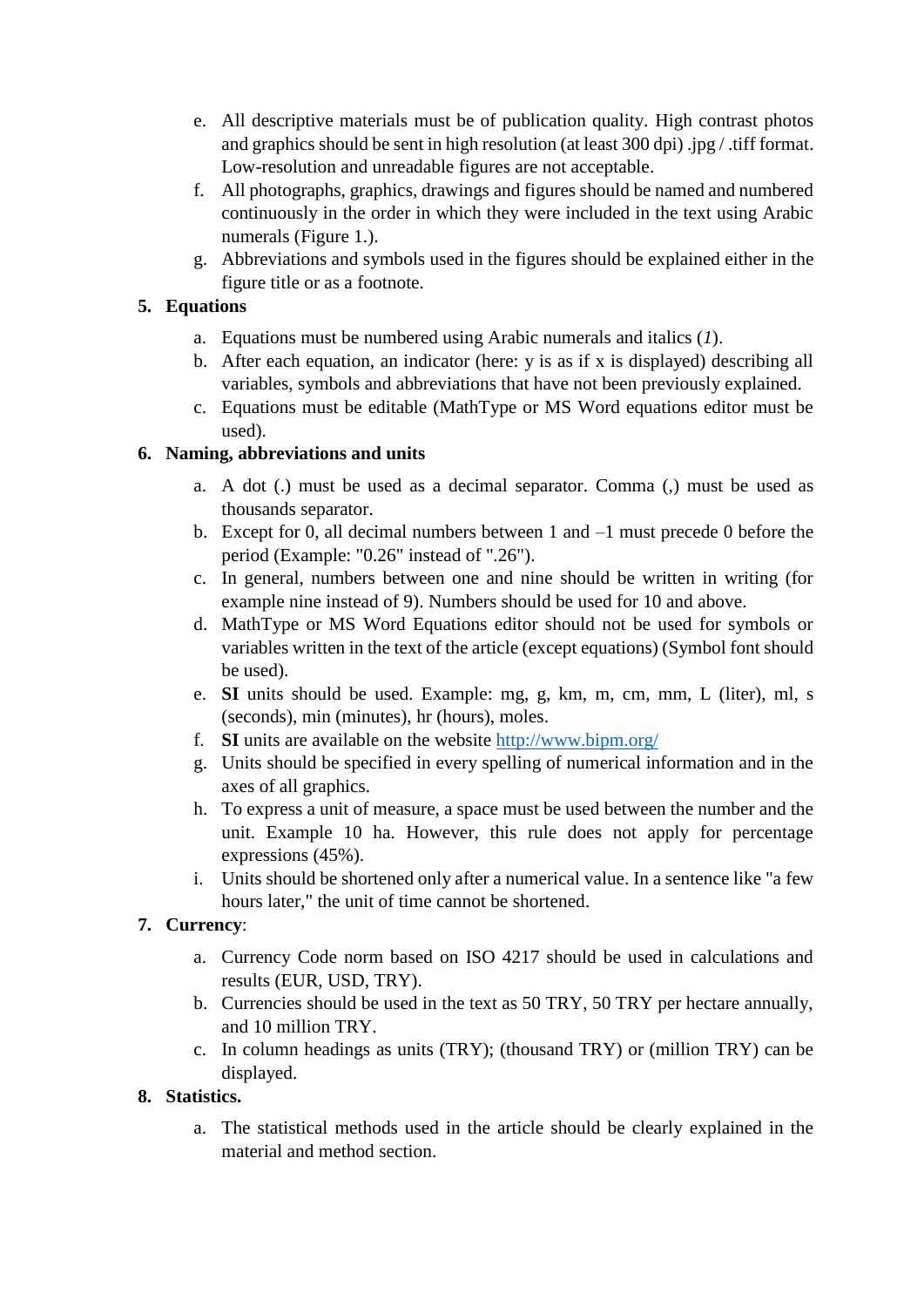- e. All descriptive materials must be of publication quality. High contrast photos and graphics should be sent in high resolution (at least 300 dpi) .jpg / .tiff format. Low-resolution and unreadable figures are not acceptable.
- f. All photographs, graphics, drawings and figures should be named and numbered continuously in the order in which they were included in the text using Arabic numerals (Figure 1.).
- g. Abbreviations and symbols used in the figures should be explained either in the figure title or as a footnote.

# **5. Equations**

- a. Equations must be numbered using Arabic numerals and italics (*1*).
- b. After each equation, an indicator (here: y is as if x is displayed) describing all variables, symbols and abbreviations that have not been previously explained.
- c. Equations must be editable (MathType or MS Word equations editor must be used).

# **6. Naming, abbreviations and units**

- a. A dot (.) must be used as a decimal separator. Comma (,) must be used as thousands separator.
- b. Except for 0, all decimal numbers between 1 and –1 must precede 0 before the period (Example: "0.26" instead of ".26").
- c. In general, numbers between one and nine should be written in writing (for example nine instead of 9). Numbers should be used for 10 and above.
- d. MathType or MS Word Equations editor should not be used for symbols or variables written in the text of the article (except equations) (Symbol font should be used).
- e. **SI** units should be used. Example: mg, g, km, m, cm, mm, L (liter), ml, s (seconds), min (minutes), hr (hours), moles.
- f. **SI** units are available on the website<http://www.bipm.org/>
- g. Units should be specified in every spelling of numerical information and in the axes of all graphics.
- h. To express a unit of measure, a space must be used between the number and the unit. Example 10 ha. However, this rule does not apply for percentage expressions (45%).
- i. Units should be shortened only after a numerical value. In a sentence like "a few hours later," the unit of time cannot be shortened.

# **7. Currency**:

- a. Currency Code norm based on ISO 4217 should be used in calculations and results (EUR, USD, TRY).
- b. Currencies should be used in the text as 50 TRY, 50 TRY per hectare annually, and 10 million TRY.
- c. In column headings as units (TRY); (thousand TRY) or (million TRY) can be displayed.

# **8. Statistics.**

a. The statistical methods used in the article should be clearly explained in the material and method section.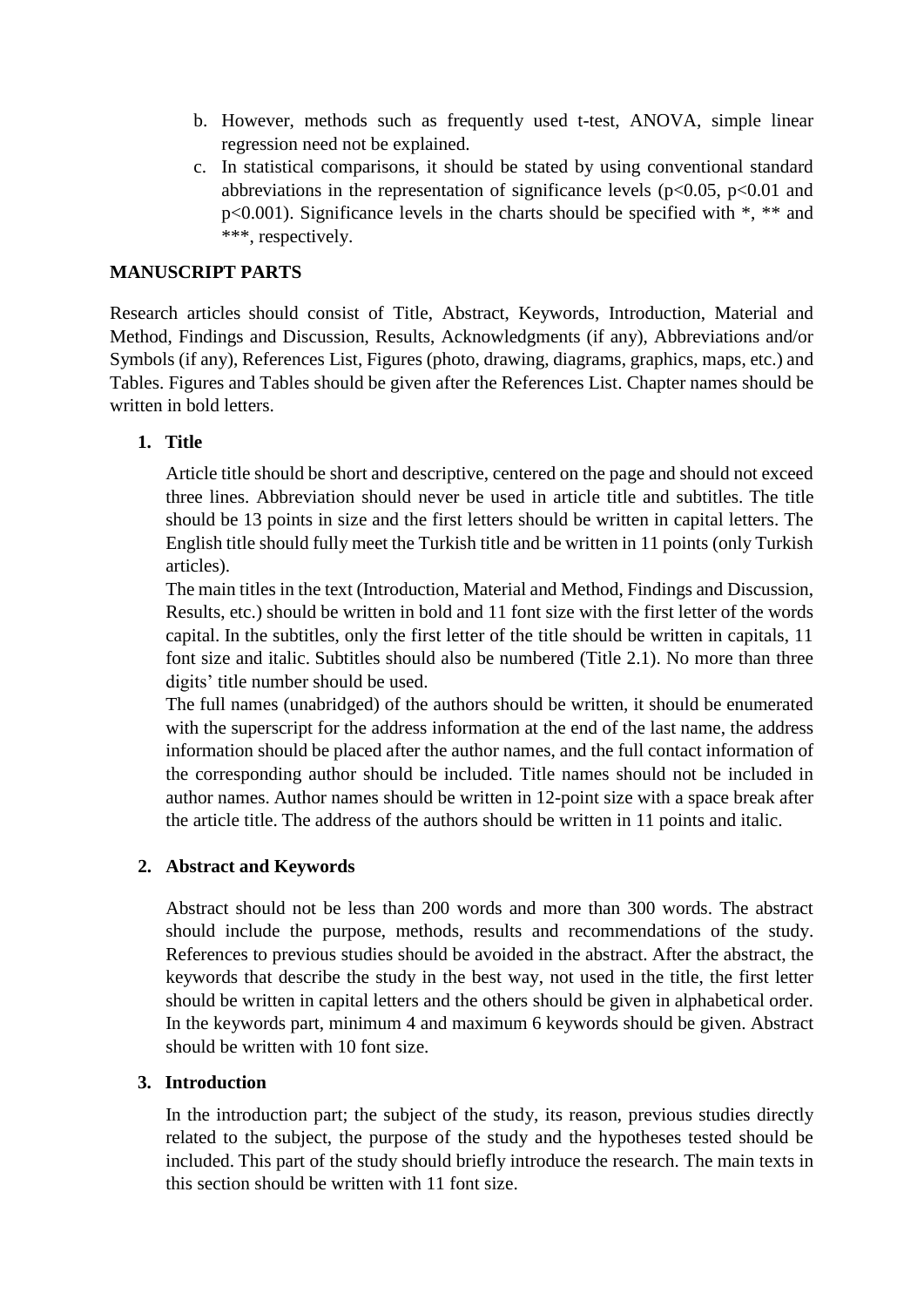- b. However, methods such as frequently used t-test, ANOVA, simple linear regression need not be explained.
- c. In statistical comparisons, it should be stated by using conventional standard abbreviations in the representation of significance levels ( $p<0.05$ ,  $p<0.01$  and p<0.001). Significance levels in the charts should be specified with \*, \*\* and \*\*\*, respectively.

### **MANUSCRIPT PARTS**

Research articles should consist of Title, Abstract, Keywords, Introduction, Material and Method, Findings and Discussion, Results, Acknowledgments (if any), Abbreviations and/or Symbols (if any), References List, Figures (photo, drawing, diagrams, graphics, maps, etc.) and Tables. Figures and Tables should be given after the References List. Chapter names should be written in bold letters.

## **1. Title**

Article title should be short and descriptive, centered on the page and should not exceed three lines. Abbreviation should never be used in article title and subtitles. The title should be 13 points in size and the first letters should be written in capital letters. The English title should fully meet the Turkish title and be written in 11 points (only Turkish articles).

The main titles in the text (Introduction, Material and Method, Findings and Discussion, Results, etc.) should be written in bold and 11 font size with the first letter of the words capital. In the subtitles, only the first letter of the title should be written in capitals, 11 font size and italic. Subtitles should also be numbered (Title 2.1). No more than three digits' title number should be used.

The full names (unabridged) of the authors should be written, it should be enumerated with the superscript for the address information at the end of the last name, the address information should be placed after the author names, and the full contact information of the corresponding author should be included. Title names should not be included in author names. Author names should be written in 12-point size with a space break after the article title. The address of the authors should be written in 11 points and italic.

## **2. Abstract and Keywords**

Abstract should not be less than 200 words and more than 300 words. The abstract should include the purpose, methods, results and recommendations of the study. References to previous studies should be avoided in the abstract. After the abstract, the keywords that describe the study in the best way, not used in the title, the first letter should be written in capital letters and the others should be given in alphabetical order. In the keywords part, minimum 4 and maximum 6 keywords should be given. Abstract should be written with 10 font size.

### **3. Introduction**

In the introduction part; the subject of the study, its reason, previous studies directly related to the subject, the purpose of the study and the hypotheses tested should be included. This part of the study should briefly introduce the research. The main texts in this section should be written with 11 font size.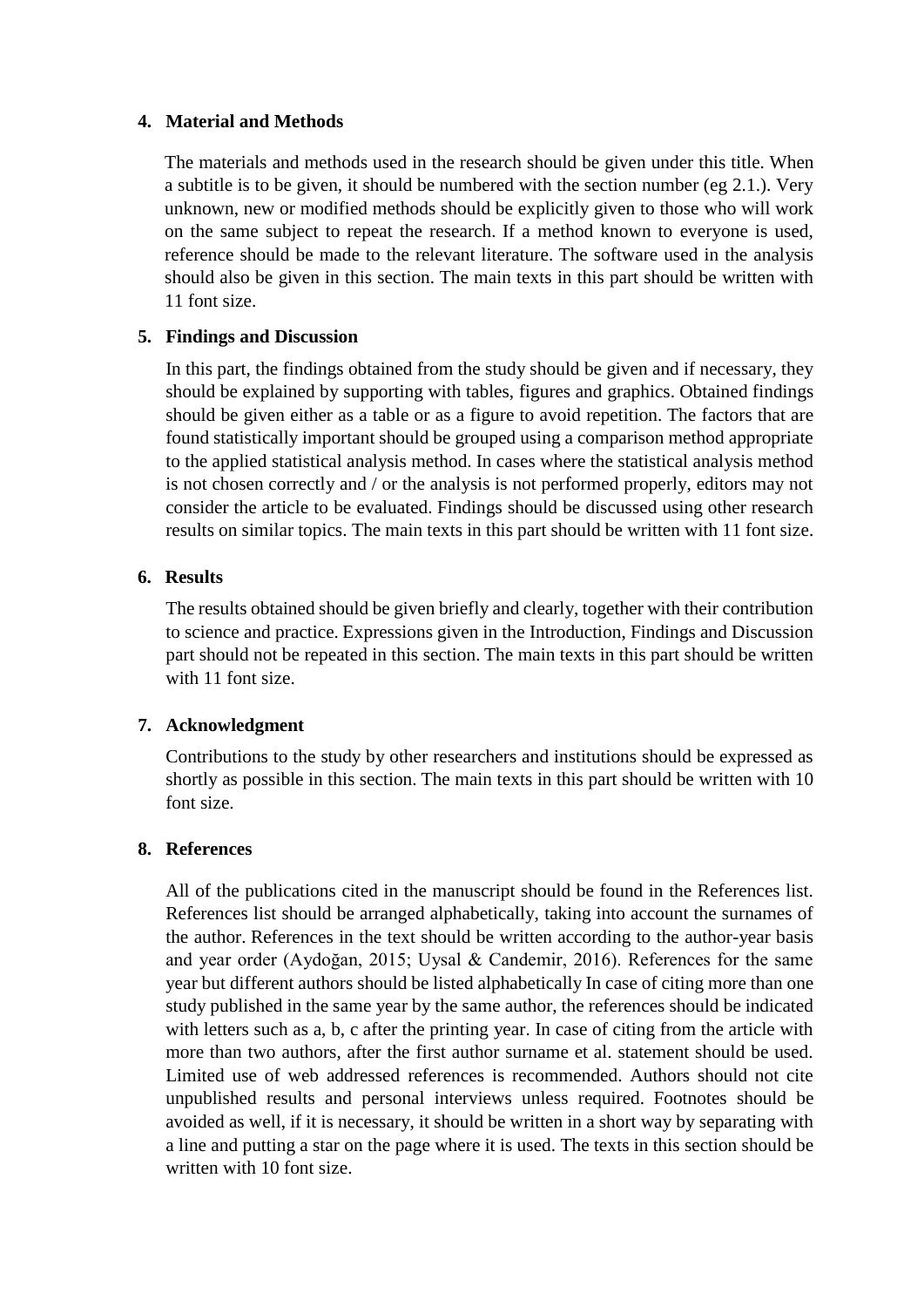### **4. Material and Methods**

The materials and methods used in the research should be given under this title. When a subtitle is to be given, it should be numbered with the section number (eg 2.1.). Very unknown, new or modified methods should be explicitly given to those who will work on the same subject to repeat the research. If a method known to everyone is used, reference should be made to the relevant literature. The software used in the analysis should also be given in this section. The main texts in this part should be written with 11 font size.

## **5. Findings and Discussion**

In this part, the findings obtained from the study should be given and if necessary, they should be explained by supporting with tables, figures and graphics. Obtained findings should be given either as a table or as a figure to avoid repetition. The factors that are found statistically important should be grouped using a comparison method appropriate to the applied statistical analysis method. In cases where the statistical analysis method is not chosen correctly and / or the analysis is not performed properly, editors may not consider the article to be evaluated. Findings should be discussed using other research results on similar topics. The main texts in this part should be written with 11 font size.

## **6. Results**

The results obtained should be given briefly and clearly, together with their contribution to science and practice. Expressions given in the Introduction, Findings and Discussion part should not be repeated in this section. The main texts in this part should be written with 11 font size.

## **7. Acknowledgment**

Contributions to the study by other researchers and institutions should be expressed as shortly as possible in this section. The main texts in this part should be written with 10 font size.

### **8. References**

All of the publications cited in the manuscript should be found in the References list. References list should be arranged alphabetically, taking into account the surnames of the author. References in the text should be written according to the author-year basis and year order (Aydoğan, 2015; Uysal & Candemir, 2016). References for the same year but different authors should be listed alphabetically In case of citing more than one study published in the same year by the same author, the references should be indicated with letters such as a, b, c after the printing year. In case of citing from the article with more than two authors, after the first author surname et al. statement should be used. Limited use of web addressed references is recommended. Authors should not cite unpublished results and personal interviews unless required. Footnotes should be avoided as well, if it is necessary, it should be written in a short way by separating with a line and putting a star on the page where it is used. The texts in this section should be written with 10 font size.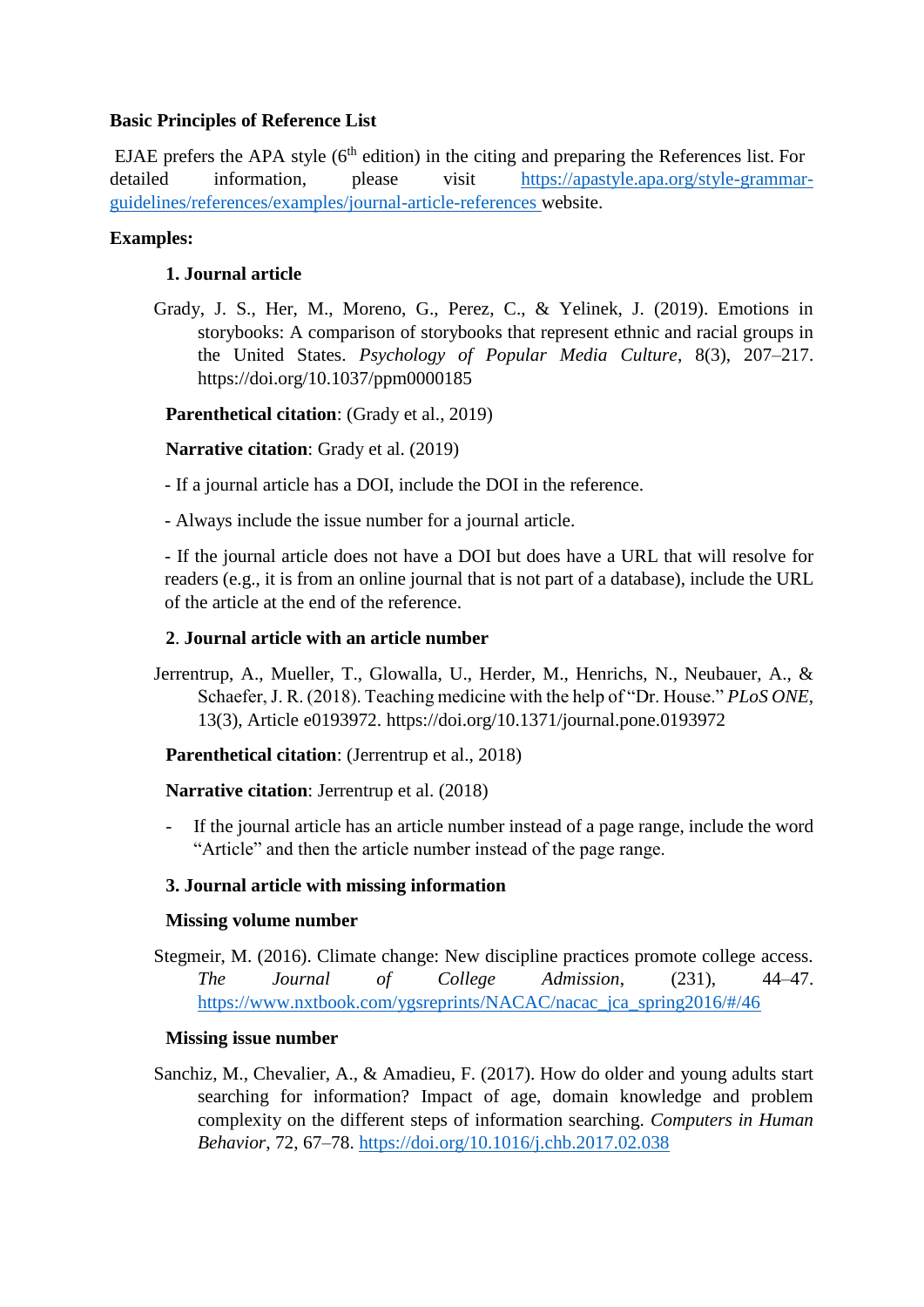## **Basic Principles of Reference List**

EJAE prefers the APA style  $(6<sup>th</sup>$  edition) in the citing and preparing the References list. For detailed information, please visit [https://apastyle.apa.org/style-grammar](https://apastyle.apa.org/style-grammar-guidelines/references/examples/journal-article-references)[guidelines/references/examples/journal-article-references](https://apastyle.apa.org/style-grammar-guidelines/references/examples/journal-article-references) website.

## **Examples:**

## **1. Journal article**

Grady, J. S., Her, M., Moreno, G., Perez, C., & Yelinek, J. (2019). Emotions in storybooks: A comparison of storybooks that represent ethnic and racial groups in the United States. *Psychology of Popular Media Culture*, 8(3), 207–217. https://doi.org/10.1037/ppm0000185

**Parenthetical citation**: (Grady et al., 2019)

**Narrative citation**: Grady et al. (2019)

- If a journal article has a DOI, include the DOI in the reference.

- Always include the issue number for a journal article.

- If the journal article does not have a DOI but does have a URL that will resolve for readers (e.g., it is from an online journal that is not part of a database), include the URL of the article at the end of the reference.

## **2**. **Journal article with an article number**

Jerrentrup, A., Mueller, T., Glowalla, U., Herder, M., Henrichs, N., Neubauer, A., & Schaefer, J. R. (2018). Teaching medicine with the help of "Dr. House." *PLoS ONE*, 13(3), Article e0193972. https://doi.org/10.1371/journal.pone.0193972

**Parenthetical citation**: (Jerrentrup et al., 2018)

**Narrative citation**: Jerrentrup et al. (2018)

If the journal article has an article number instead of a page range, include the word "Article" and then the article number instead of the page range.

## **3. Journal article with missing information**

## **Missing volume number**

Stegmeir, M. (2016). Climate change: New discipline practices promote college access. *The Journal of College Admission*, (231), 44–47. [https://www.nxtbook.com/ygsreprints/NACAC/nacac\\_jca\\_spring2016/#/46](https://www.nxtbook.com/ygsreprints/NACAC/nacac_jca_spring2016/#/46)

## **Missing issue number**

Sanchiz, M., Chevalier, A., & Amadieu, F. (2017). How do older and young adults start searching for information? Impact of age, domain knowledge and problem complexity on the different steps of information searching. *Computers in Human Behavior*, 72, 67–78. <https://doi.org/10.1016/j.chb.2017.02.038>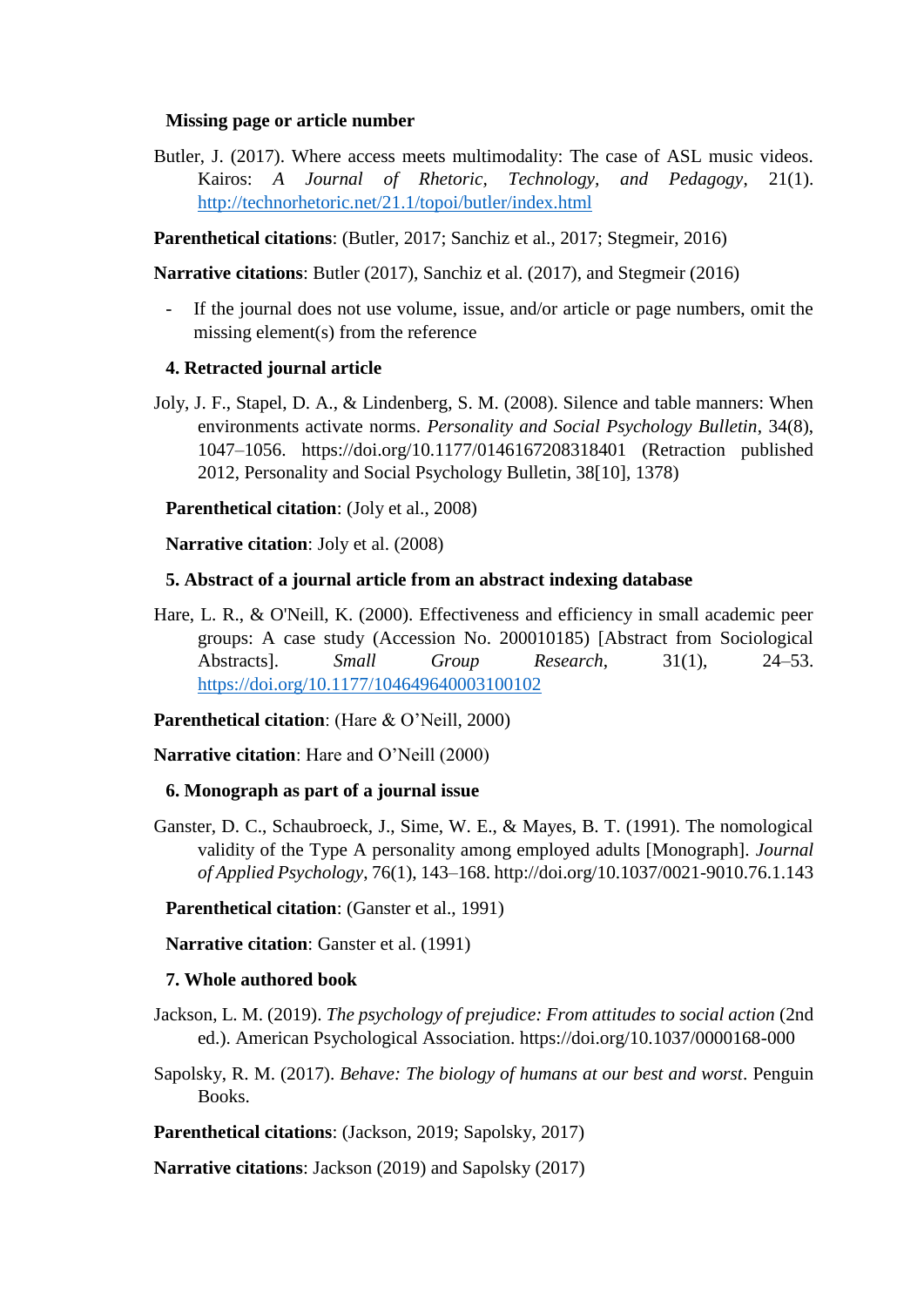#### **Missing page or article number**

Butler, J. (2017). Where access meets multimodality: The case of ASL music videos. Kairos: *A Journal of Rhetoric, Technology, and Pedagogy*, 21(1). <http://technorhetoric.net/21.1/topoi/butler/index.html>

**Parenthetical citations**: (Butler, 2017; Sanchiz et al., 2017; Stegmeir, 2016)

**Narrative citations**: Butler (2017), Sanchiz et al. (2017), and Stegmeir (2016)

If the journal does not use volume, issue, and/or article or page numbers, omit the missing element(s) from the reference

#### **4. Retracted journal article**

Joly, J. F., Stapel, D. A., & Lindenberg, S. M. (2008). Silence and table manners: When environments activate norms. *Personality and Social Psychology Bulletin*, 34(8), 1047–1056. https://doi.org/10.1177/0146167208318401 (Retraction published 2012, Personality and Social Psychology Bulletin, 38[10], 1378)

**Parenthetical citation**: (Joly et al., 2008)

**Narrative citation**: Joly et al. (2008)

#### **5. Abstract of a journal article from an abstract indexing database**

Hare, L. R., & O'Neill, K. (2000). Effectiveness and efficiency in small academic peer groups: A case study (Accession No. 200010185) [Abstract from Sociological Abstracts]. *Small Group Research*, 31(1), 24–53. <https://doi.org/10.1177/104649640003100102>

**Parenthetical citation**: (Hare & O'Neill, 2000)

**Narrative citation**: Hare and O'Neill (2000)

#### **6. Monograph as part of a journal issue**

Ganster, D. C., Schaubroeck, J., Sime, W. E., & Mayes, B. T. (1991). The nomological validity of the Type A personality among employed adults [Monograph]. *Journal of Applied Psychology*, 76(1), 143–168. http://doi.org/10.1037/0021-9010.76.1.143

**Parenthetical citation**: (Ganster et al., 1991)

**Narrative citation**: Ganster et al. (1991)

### **7. Whole authored book**

- Jackson, L. M. (2019). *The psychology of prejudice: From attitudes to social action* (2nd) ed.). American Psychological Association. https://doi.org/10.1037/0000168-000
- Sapolsky, R. M. (2017). *Behave: The biology of humans at our best and worst*. Penguin Books.

**Parenthetical citations**: (Jackson, 2019; Sapolsky, 2017)

**Narrative citations**: Jackson (2019) and Sapolsky (2017)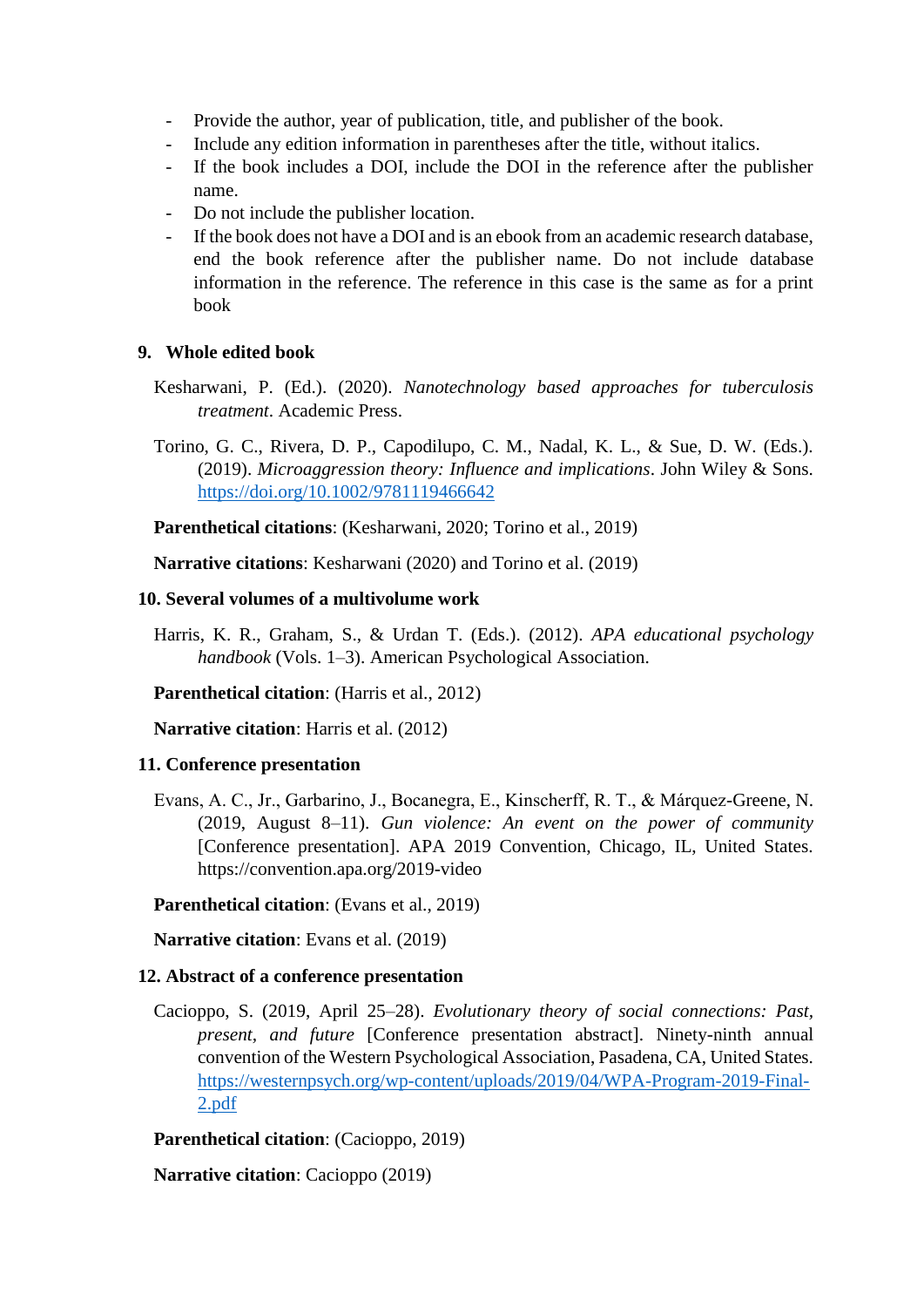- Provide the author, year of publication, title, and publisher of the book.
- Include any edition information in parentheses after the title, without italics.
- If the book includes a DOI, include the DOI in the reference after the publisher name.
- Do not include the publisher location.
- If the book does not have a DOI and is an ebook from an academic research database, end the book reference after the publisher name. Do not include database information in the reference. The reference in this case is the same as for a print book

### **9. Whole edited book**

Kesharwani, P. (Ed.). (2020). *Nanotechnology based approaches for tuberculosis treatment*. Academic Press.

Torino, G. C., Rivera, D. P., Capodilupo, C. M., Nadal, K. L., & Sue, D. W. (Eds.). (2019). *Microaggression theory: Influence and implications*. John Wiley & Sons. <https://doi.org/10.1002/9781119466642>

**Parenthetical citations**: (Kesharwani, 2020; Torino et al., 2019)

**Narrative citations**: Kesharwani (2020) and Torino et al. (2019)

### **10. Several volumes of a multivolume work**

Harris, K. R., Graham, S., & Urdan T. (Eds.). (2012). *APA educational psychology handbook* (Vols. 1–3). American Psychological Association.

**Parenthetical citation**: (Harris et al., 2012)

**Narrative citation**: Harris et al. (2012)

## **11. Conference presentation**

Evans, A. C., Jr., Garbarino, J., Bocanegra, E., Kinscherff, R. T., & Márquez-Greene, N. (2019, August 8–11). *Gun violence: An event on the power of community* [Conference presentation]. APA 2019 Convention, Chicago, IL, United States. https://convention.apa.org/2019-video

## **Parenthetical citation**: (Evans et al., 2019)

**Narrative citation**: Evans et al. (2019)

### **12. Abstract of a conference presentation**

Cacioppo, S. (2019, April 25–28). *Evolutionary theory of social connections: Past, present, and future* [Conference presentation abstract]. Ninety-ninth annual convention of the Western Psychological Association, Pasadena, CA, United States. [https://westernpsych.org/wp-content/uploads/2019/04/WPA-Program-2019-Final-](https://westernpsych.org/wp-content/uploads/2019/04/WPA-Program-2019-Final-2.pdf)[2.pdf](https://westernpsych.org/wp-content/uploads/2019/04/WPA-Program-2019-Final-2.pdf)

**Parenthetical citation**: (Cacioppo, 2019)

**Narrative citation**: Cacioppo (2019)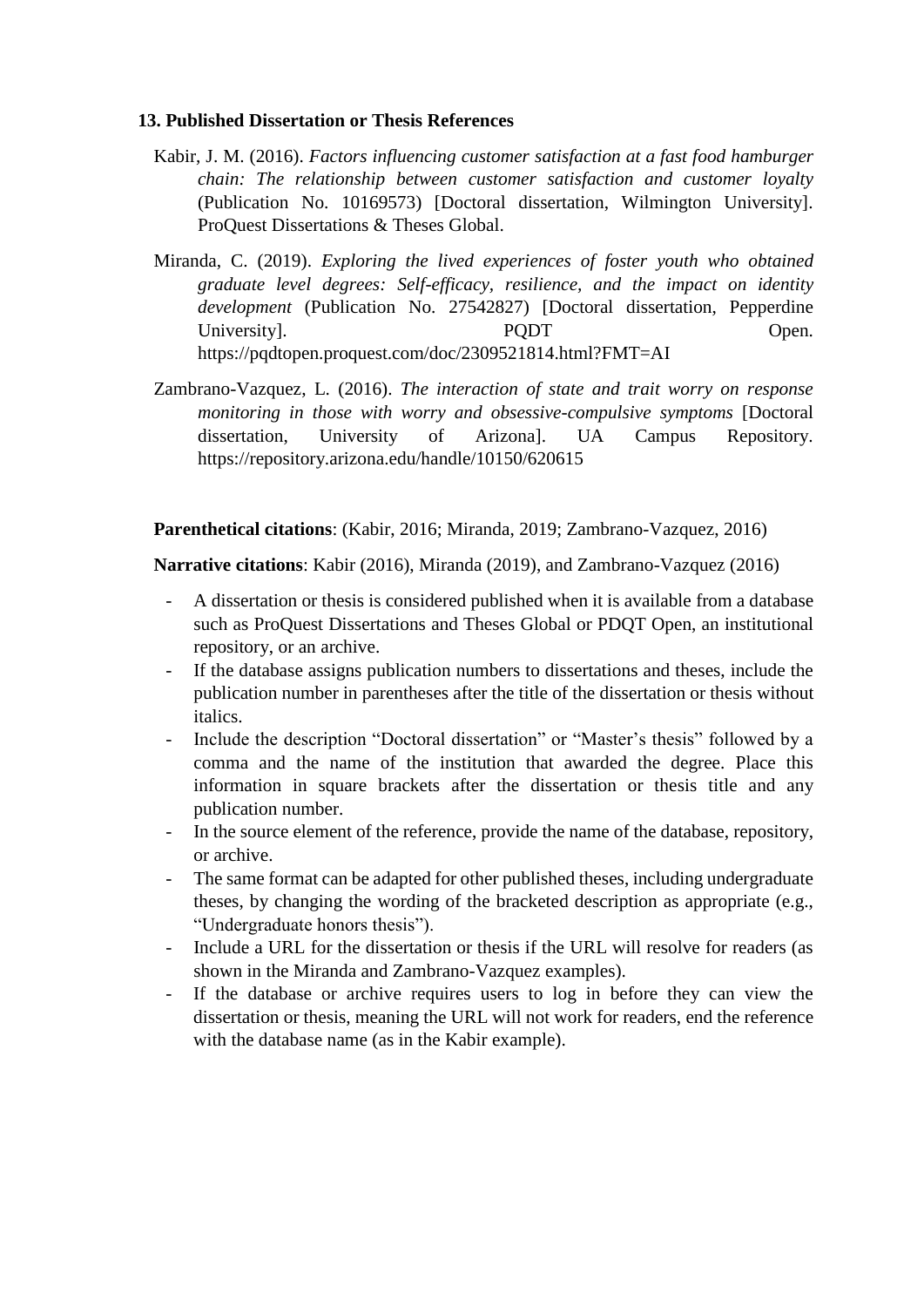### **13. Published Dissertation or Thesis References**

- Kabir, J. M. (2016). *Factors influencing customer satisfaction at a fast food hamburger chain: The relationship between customer satisfaction and customer loyalty* (Publication No. 10169573) [Doctoral dissertation, Wilmington University]. ProQuest Dissertations & Theses Global.
- Miranda, C. (2019). *Exploring the lived experiences of foster youth who obtained graduate level degrees: Self-efficacy, resilience, and the impact on identity development* (Publication No. 27542827) [Doctoral dissertation, Pepperdine University. Depentually proper property of the property of  $P$ https://pqdtopen.proquest.com/doc/2309521814.html?FMT=AI
- Zambrano-Vazquez, L. (2016). *The interaction of state and trait worry on response monitoring in those with worry and obsessive-compulsive symptoms* [Doctoral dissertation, University of Arizona]. UA Campus Repository. https://repository.arizona.edu/handle/10150/620615

**Parenthetical citations**: (Kabir, 2016; Miranda, 2019; Zambrano-Vazquez, 2016)

**Narrative citations**: Kabir (2016), Miranda (2019), and Zambrano-Vazquez (2016)

- A dissertation or thesis is considered published when it is available from a database such as ProQuest Dissertations and Theses Global or PDQT Open, an institutional repository, or an archive.
- If the database assigns publication numbers to dissertations and theses, include the publication number in parentheses after the title of the dissertation or thesis without italics.
- Include the description "Doctoral dissertation" or "Master's thesis" followed by a comma and the name of the institution that awarded the degree. Place this information in square brackets after the dissertation or thesis title and any publication number.
- In the source element of the reference, provide the name of the database, repository, or archive.
- The same format can be adapted for other published theses, including undergraduate theses, by changing the wording of the bracketed description as appropriate (e.g., "Undergraduate honors thesis").
- Include a URL for the dissertation or thesis if the URL will resolve for readers (as shown in the Miranda and Zambrano-Vazquez examples).
- If the database or archive requires users to log in before they can view the dissertation or thesis, meaning the URL will not work for readers, end the reference with the database name (as in the Kabir example).